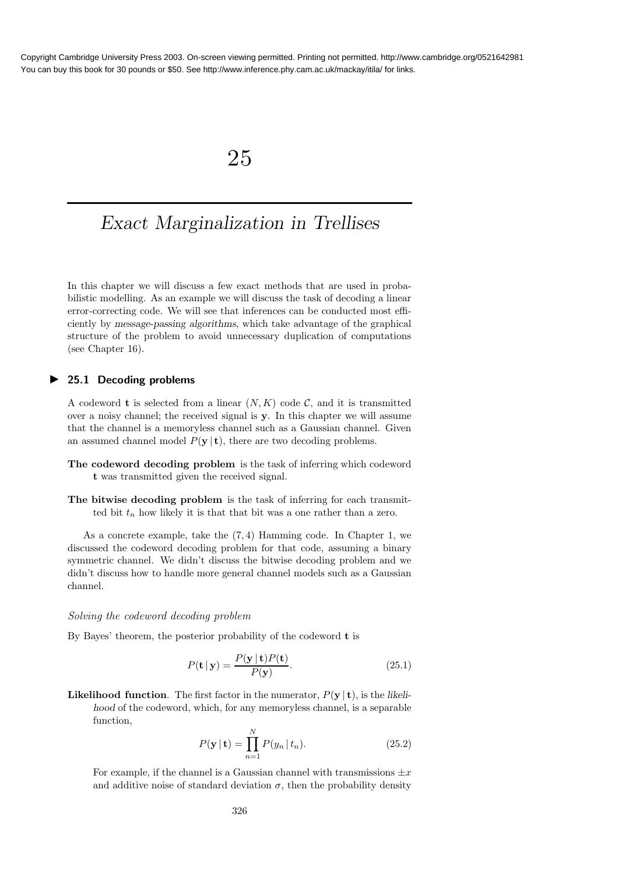# 25

# Exact Marginalization in Trellises

In this chapter we will discuss a few exact methods that are used in probabilistic modelling. As an example we will discuss the task of decoding a linear error-correcting code. We will see that inferences can be conducted most efficiently by message-passing algorithms, which take advantage of the graphical structure of the problem to avoid unnecessary duplication of computations (see Chapter 16).

## ▶ 25.1 Decoding problems

A codeword **t** is selected from a linear  $(N, K)$  code C, and it is transmitted over a noisy channel; the received signal is y. In this chapter we will assume that the channel is a memoryless channel such as a Gaussian channel. Given an assumed channel model  $P(y | t)$ , there are two decoding problems.

- The codeword decoding problem is the task of inferring which codeword t was transmitted given the received signal.
- The bitwise decoding problem is the task of inferring for each transmitted bit  $t_n$  how likely it is that that bit was a one rather than a zero.

As a concrete example, take the (7, 4) Hamming code. In Chapter 1, we discussed the codeword decoding problem for that code, assuming a binary symmetric channel. We didn't discuss the bitwise decoding problem and we didn't discuss how to handle more general channel models such as a Gaussian channel.

#### Solving the codeword decoding problem

By Bayes' theorem, the posterior probability of the codeword t is

$$
P(\mathbf{t} \mid \mathbf{y}) = \frac{P(\mathbf{y} \mid \mathbf{t}) P(\mathbf{t})}{P(\mathbf{y})}.
$$
 (25.1)

**Likelihood function**. The first factor in the numerator,  $P(y | t)$ , is the likelihood of the codeword, which, for any memoryless channel, is a separable function,

$$
P(\mathbf{y} \mid \mathbf{t}) = \prod_{n=1}^{N} P(y_n \mid t_n).
$$
 (25.2)

For example, if the channel is a Gaussian channel with transmissions  $\pm x$ and additive noise of standard deviation  $\sigma$ , then the probability density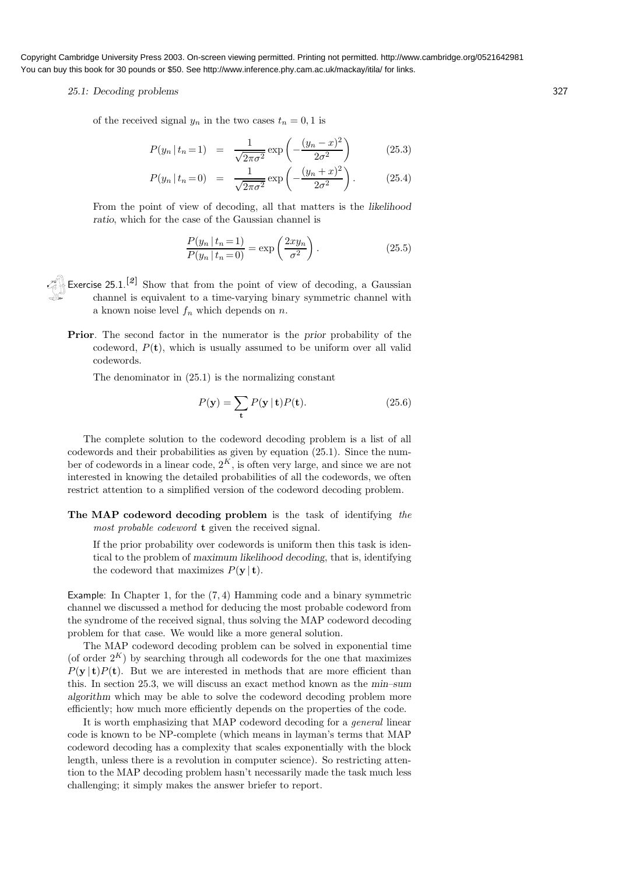#### 25.1: Decoding problems 327

of the received signal  $y_n$  in the two cases  $t_n = 0, 1$  is

$$
P(y_n | t_n = 1) = \frac{1}{\sqrt{2\pi\sigma^2}} \exp\left(-\frac{(y_n - x)^2}{2\sigma^2}\right)
$$
 (25.3)

$$
P(y_n | t_n = 0) = \frac{1}{\sqrt{2\pi\sigma^2}} \exp\left(-\frac{(y_n + x)^2}{2\sigma^2}\right).
$$
 (25.4)

From the point of view of decoding, all that matters is the likelihood ratio, which for the case of the Gaussian channel is

$$
\frac{P(y_n | t_n = 1)}{P(y_n | t_n = 0)} = \exp\left(\frac{2xy_n}{\sigma^2}\right).
$$
\n(25.5)

- Exercise  $25.1$ .<sup>[2]</sup> Show that from the point of view of decoding, a Gaussian channel is equivalent to a time-varying binary symmetric channel with a known noise level  $f_n$  which depends on n.
	- Prior. The second factor in the numerator is the prior probability of the codeword,  $P(t)$ , which is usually assumed to be uniform over all valid codewords.

The denominator in (25.1) is the normalizing constant

$$
P(\mathbf{y}) = \sum_{\mathbf{t}} P(\mathbf{y} \mid \mathbf{t}) P(\mathbf{t}).
$$
 (25.6)

The complete solution to the codeword decoding problem is a list of all codewords and their probabilities as given by equation (25.1). Since the number of codewords in a linear code,  $2<sup>K</sup>$ , is often very large, and since we are not interested in knowing the detailed probabilities of all the codewords, we often restrict attention to a simplified version of the codeword decoding problem.

The MAP codeword decoding problem is the task of identifying the most probable codeword **t** given the received signal.

If the prior probability over codewords is uniform then this task is identical to the problem of maximum likelihood decoding, that is, identifying the codeword that maximizes  $P(\mathbf{y} \mid \mathbf{t})$ .

Example: In Chapter 1, for the (7, 4) Hamming code and a binary symmetric channel we discussed a method for deducing the most probable codeword from the syndrome of the received signal, thus solving the MAP codeword decoding problem for that case. We would like a more general solution.

The MAP codeword decoding problem can be solved in exponential time (of order  $2^K$ ) by searching through all codewords for the one that maximizes  $P(y | t)P(t)$ . But we are interested in methods that are more efficient than this. In section 25.3, we will discuss an exact method known as the min–sum algorithm which may be able to solve the codeword decoding problem more efficiently; how much more efficiently depends on the properties of the code.

It is worth emphasizing that MAP codeword decoding for a general linear code is known to be NP-complete (which means in layman's terms that MAP codeword decoding has a complexity that scales exponentially with the block length, unless there is a revolution in computer science). So restricting attention to the MAP decoding problem hasn't necessarily made the task much less challenging; it simply makes the answer briefer to report.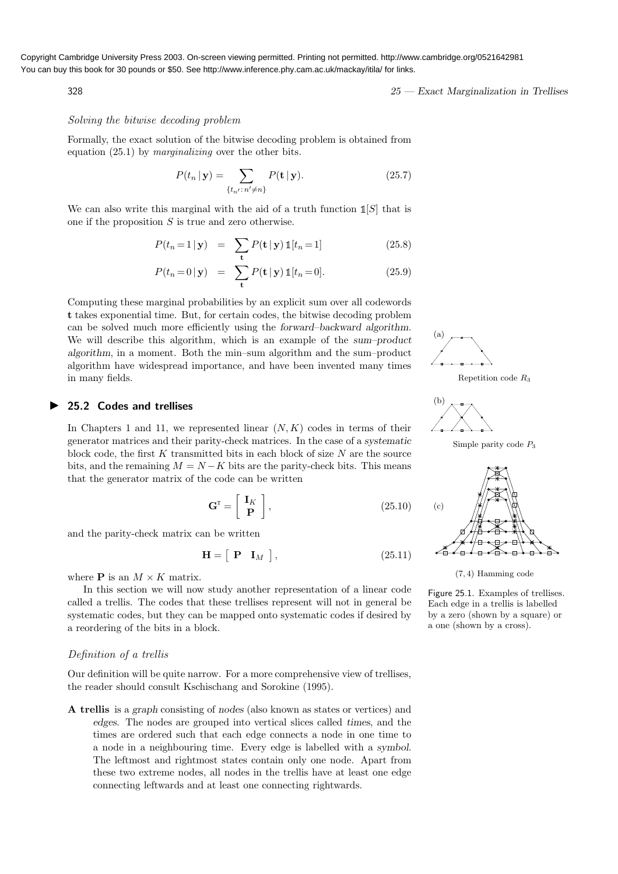$328$   $25$   $-$  Exact Marginalization in Trellises

# Solving the bitwise decoding problem

Formally, the exact solution of the bitwise decoding problem is obtained from equation (25.1) by marginalizing over the other bits.

$$
P(t_n | \mathbf{y}) = \sum_{\{t_{n'} : n' \neq n\}} P(\mathbf{t} | \mathbf{y}).
$$
 (25.7)

We can also write this marginal with the aid of a truth function  $\mathbb{1}[S]$  that is one if the proposition  $S$  is true and zero otherwise.

$$
P(t_n = 1 | \mathbf{y}) = \sum_{\mathbf{t}} P(\mathbf{t} | \mathbf{y}) \mathbb{1}[t_n = 1]
$$
 (25.8)

$$
P(t_n = 0 | \mathbf{y}) = \sum_{\mathbf{t}} P(\mathbf{t} | \mathbf{y}) \mathbb{1}[t_n = 0]. \tag{25.9}
$$

Computing these marginal probabilities by an explicit sum over all codewords t takes exponential time. But, for certain codes, the bitwise decoding problem can be solved much more efficiently using the forward–backward algorithm. We will describe this algorithm, which is an example of the sum–product algorithm, in a moment. Both the min–sum algorithm and the sum–product algorithm have widespread importance, and have been invented many times in many fields.

## ▶ 25.2 Codes and trellises

In Chapters 1 and 11, we represented linear  $(N, K)$  codes in terms of their generator matrices and their parity-check matrices. In the case of a systematic block code, the first  $K$  transmitted bits in each block of size  $N$  are the source bits, and the remaining  $M = N - K$  bits are the parity-check bits. This means that the generator matrix of the code can be written

$$
\mathbf{G}^{\mathsf{T}} = \left[ \begin{array}{c} \mathbf{I}_K \\ \mathbf{P} \end{array} \right],\tag{25.10}
$$

and the parity-check matrix can be written

$$
\mathbf{H} = \left[ \begin{array}{cc} \mathbf{P} & \mathbf{I}_M \end{array} \right],\tag{25.11}
$$

where **P** is an  $M \times K$  matrix.

In this section we will now study another representation of a linear code called a trellis. The codes that these trellises represent will not in general be systematic codes, but they can be mapped onto systematic codes if desired by a reordering of the bits in a block.

### Definition of a trellis

Our definition will be quite narrow. For a more comprehensive view of trellises, the reader should consult Kschischang and Sorokine (1995).

A trellis is a graph consisting of nodes (also known as states or vertices) and edges. The nodes are grouped into vertical slices called times, and the times are ordered such that each edge connects a node in one time to a node in a neighbouring time. Every edge is labelled with a symbol. The leftmost and rightmost states contain only one node. Apart from these two extreme nodes, all nodes in the trellis have at least one edge connecting leftwards and at least one connecting rightwards.



Repetition code R<sup>3</sup>



Simple parity code  $P_3$ 





Figure 25.1. Examples of trellises. Each edge in a trellis is labelled by a zero (shown by a square) or a one (shown by a cross).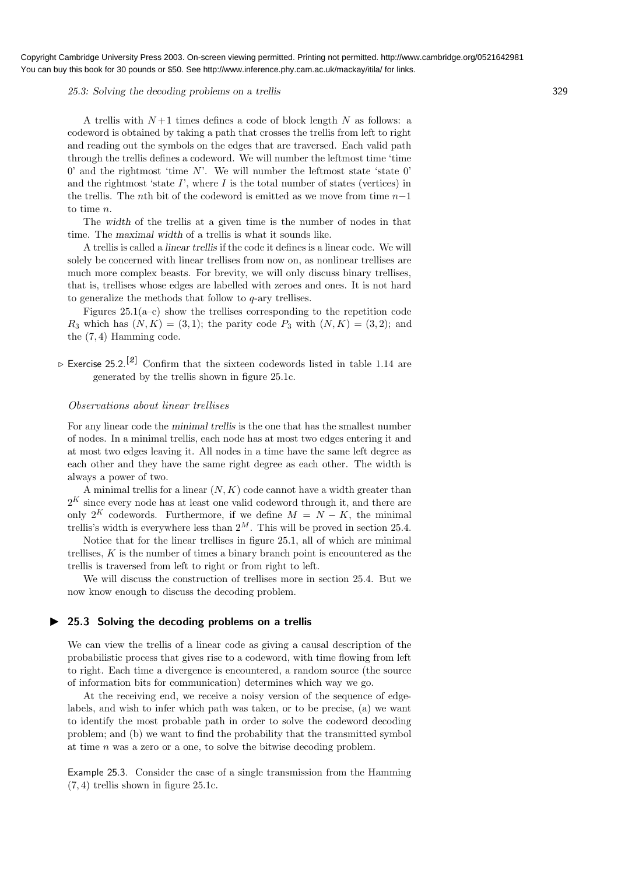### 25.3: Solving the decoding problems on a trellis 329

A trellis with  $N+1$  times defines a code of block length N as follows: a codeword is obtained by taking a path that crosses the trellis from left to right and reading out the symbols on the edges that are traversed. Each valid path through the trellis defines a codeword. We will number the leftmost time 'time  $0'$  and the rightmost 'time N'. We will number the leftmost state 'state  $0'$ and the rightmost 'state  $I'$ , where  $I$  is the total number of states (vertices) in the trellis. The *n*th bit of the codeword is emitted as we move from time  $n-1$ to time n.

The width of the trellis at a given time is the number of nodes in that time. The maximal width of a trellis is what it sounds like.

A trellis is called a linear trellis if the code it defines is a linear code. We will solely be concerned with linear trellises from now on, as nonlinear trellises are much more complex beasts. For brevity, we will only discuss binary trellises, that is, trellises whose edges are labelled with zeroes and ones. It is not hard to generalize the methods that follow to  $q$ -ary trellises.

Figures  $25.1(a-c)$  show the trellises corresponding to the repetition code  $R_3$  which has  $(N, K) = (3, 1)$ ; the parity code  $P_3$  with  $(N, K) = (3, 2)$ ; and the (7, 4) Hamming code.

 $\triangleright$  Exercise 25.2.<sup>[2]</sup> Confirm that the sixteen codewords listed in table 1.14 are generated by the trellis shown in figure 25.1c.

# Observations about linear trellises

For any linear code the minimal trellis is the one that has the smallest number of nodes. In a minimal trellis, each node has at most two edges entering it and at most two edges leaving it. All nodes in a time have the same left degree as each other and they have the same right degree as each other. The width is always a power of two.

A minimal trellis for a linear  $(N, K)$  code cannot have a width greater than  $2<sup>K</sup>$  since every node has at least one valid codeword through it, and there are only  $2^{K}$  codewords. Furthermore, if we define  $M = N - K$ , the minimal trellis's width is everywhere less than  $2^M$ . This will be proved in section 25.4.

Notice that for the linear trellises in figure 25.1, all of which are minimal trellises,  $K$  is the number of times a binary branch point is encountered as the trellis is traversed from left to right or from right to left.

We will discuss the construction of trellises more in section 25.4. But we now know enough to discuss the decoding problem.

## ▶ 25.3 Solving the decoding problems on a trellis

We can view the trellis of a linear code as giving a causal description of the probabilistic process that gives rise to a codeword, with time flowing from left to right. Each time a divergence is encountered, a random source (the source of information bits for communication) determines which way we go.

At the receiving end, we receive a noisy version of the sequence of edgelabels, and wish to infer which path was taken, or to be precise, (a) we want to identify the most probable path in order to solve the codeword decoding problem; and (b) we want to find the probability that the transmitted symbol at time  $n$  was a zero or a one, to solve the bitwise decoding problem.

Example 25.3. Consider the case of a single transmission from the Hamming (7, 4) trellis shown in figure 25.1c.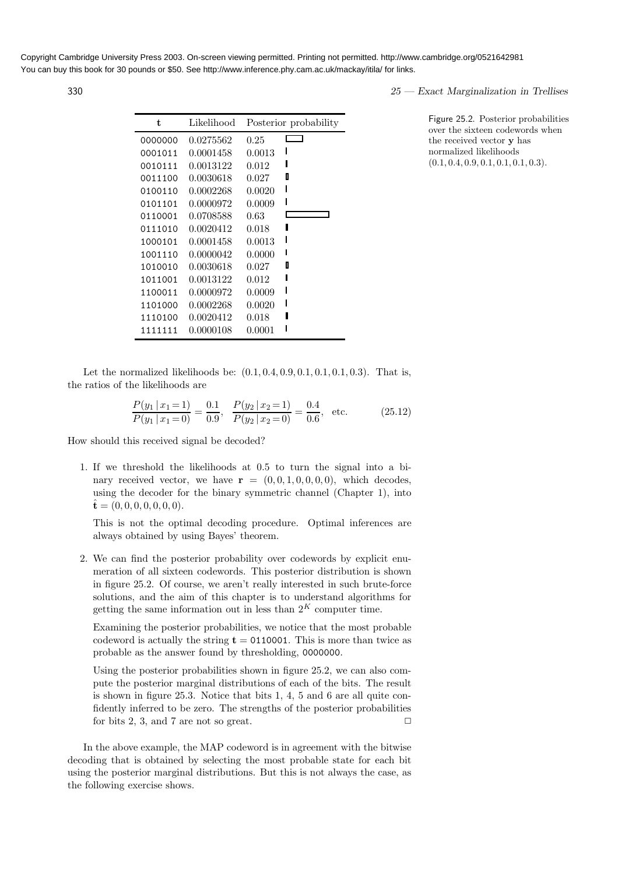| t       | Likelihood | Posterior probability |  |
|---------|------------|-----------------------|--|
| 0000000 | 0.0275562  | 0.25                  |  |
| 0001011 | 0.0001458  | 0.0013                |  |
| 0010111 | 0.0013122  | 0.012                 |  |
| 0011100 | 0.0030618  | П<br>0.027            |  |
| 0100110 | 0.0002268  | 0.0020                |  |
| 0101101 | 0.0000972  | 0.0009                |  |
| 0110001 | 0.0708588  | 0.63                  |  |
| 0111010 | 0.0020412  | L<br>0.018            |  |
| 1000101 | 0.0001458  | 0.0013                |  |
| 1001110 | 0.0000042  | 0.0000                |  |
| 1010010 | 0.0030618  | D<br>0.027            |  |
| 1011001 | 0.0013122  | 0.012                 |  |
| 1100011 | 0.0000972  | 0.0009                |  |
| 1101000 | 0.0002268  | 0.0020                |  |
| 1110100 | 0.0020412  | 0.018                 |  |
| 1111111 | 0.0000108  | 0.0001                |  |

 $25$  — Exact Marginalization in Trellises

Figure 25.2. Posterior probabilities over the sixteen codewords when the received vector y has normalized likelihoods  $(0.1, 0.4, 0.9, 0.1, 0.1, 0.1, 0.3).$ 

Let the normalized likelihoods be:  $(0.1, 0.4, 0.9, 0.1, 0.1, 0.1, 0.3)$ . That is, the ratios of the likelihoods are

$$
\frac{P(y_1 \mid x_1 = 1)}{P(y_1 \mid x_1 = 0)} = \frac{0.1}{0.9}, \quad \frac{P(y_2 \mid x_2 = 1)}{P(y_2 \mid x_2 = 0)} = \frac{0.4}{0.6}, \quad \text{etc.}
$$
\n(25.12)

How should this received signal be decoded?

1. If we threshold the likelihoods at 0.5 to turn the signal into a binary received vector, we have  $\mathbf{r} = (0, 0, 1, 0, 0, 0, 0)$ , which decodes, using the decoder for the binary symmetric channel (Chapter 1), into  $\hat{\mathbf{t}} = (0, 0, 0, 0, 0, 0, 0).$ 

This is not the optimal decoding procedure. Optimal inferences are always obtained by using Bayes' theorem.

2. We can find the posterior probability over codewords by explicit enumeration of all sixteen codewords. This posterior distribution is shown in figure 25.2. Of course, we aren't really interested in such brute-force solutions, and the aim of this chapter is to understand algorithms for getting the same information out in less than  $2<sup>K</sup>$  computer time.

Examining the posterior probabilities, we notice that the most probable codeword is actually the string  $t = 0110001$ . This is more than twice as probable as the answer found by thresholding, 0000000.

Using the posterior probabilities shown in figure 25.2, we can also compute the posterior marginal distributions of each of the bits. The result is shown in figure 25.3. Notice that bits 1, 4, 5 and 6 are all quite confidently inferred to be zero. The strengths of the posterior probabilities for bits 2, 3, and 7 are not so great.  $\Box$ 

In the above example, the MAP codeword is in agreement with the bitwise decoding that is obtained by selecting the most probable state for each bit using the posterior marginal distributions. But this is not always the case, as the following exercise shows.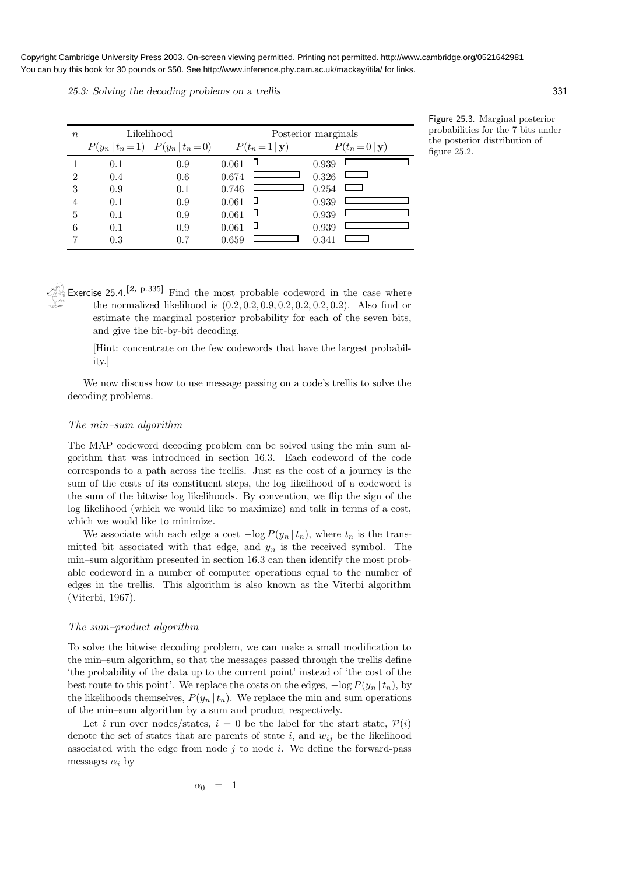25.3: Solving the decoding problems on a trellis 331

| $\boldsymbol{n}$ | Likelihood                            | Posterior marginals |       |                    |       |                       |
|------------------|---------------------------------------|---------------------|-------|--------------------|-------|-----------------------|
|                  | $P(y_n   t_n = 1)$ $P(y_n   t_n = 0)$ |                     |       | $P(t_n=1 {\bf y})$ |       | $P(t_n=0 \mathbf{y})$ |
|                  | 0.1                                   | 0.9                 | 0.061 | Д                  | 0.939 |                       |
| 2                | 0.4                                   | 0.6                 | 0.674 |                    | 0.326 |                       |
| 3                | 0.9                                   | 0.1                 | 0.746 |                    | 0.254 | ا سا                  |
| $\overline{4}$   | 0.1                                   | 0.9                 | 0.061 | $\Box$             | 0.939 |                       |
| 5                | 0.1                                   | 0.9                 | 0.061 | П                  | 0.939 |                       |
| 6                | 0.1                                   | 0.9                 | 0.061 | П                  | 0.939 |                       |
|                  | 0.3                                   | 0.7                 | 0.659 |                    | 0.341 |                       |

Figure 25.3. Marginal posterior probabilities for the 7 bits under the posterior distribution of figure 25.2.

Exercise 25.4.<sup>[2, p.335]</sup> Find the most probable codeword in the case where the normalized likelihood is  $(0.2, 0.2, 0.2, 0.2, 0.2, 0.2, 0.2)$ . Also find or estimate the marginal posterior probability for each of the seven bits, and give the bit-by-bit decoding.

[Hint: concentrate on the few codewords that have the largest probability.]

We now discuss how to use message passing on a code's trellis to solve the decoding problems.

## The min–sum algorithm

The MAP codeword decoding problem can be solved using the min–sum algorithm that was introduced in section 16.3. Each codeword of the code corresponds to a path across the trellis. Just as the cost of a journey is the sum of the costs of its constituent steps, the log likelihood of a codeword is the sum of the bitwise log likelihoods. By convention, we flip the sign of the log likelihood (which we would like to maximize) and talk in terms of a cost, which we would like to minimize.

We associate with each edge a cost  $-\log P(y_n | t_n)$ , where  $t_n$  is the transmitted bit associated with that edge, and  $y_n$  is the received symbol. The min–sum algorithm presented in section 16.3 can then identify the most probable codeword in a number of computer operations equal to the number of edges in the trellis. This algorithm is also known as the Viterbi algorithm (Viterbi, 1967).

#### The sum–product algorithm

To solve the bitwise decoding problem, we can make a small modification to the min–sum algorithm, so that the messages passed through the trellis define 'the probability of the data up to the current point' instead of 'the cost of the best route to this point'. We replace the costs on the edges,  $-\log P(y_n | t_n)$ , by the likelihoods themselves,  $P(y_n | t_n)$ . We replace the min and sum operations of the min–sum algorithm by a sum and product respectively.

Let i run over nodes/states,  $i = 0$  be the label for the start state,  $\mathcal{P}(i)$ denote the set of states that are parents of state i, and  $w_{ij}$  be the likelihood associated with the edge from node  $j$  to node  $i$ . We define the forward-pass messages  $\alpha_i$  by

$$
\alpha_0 = 1
$$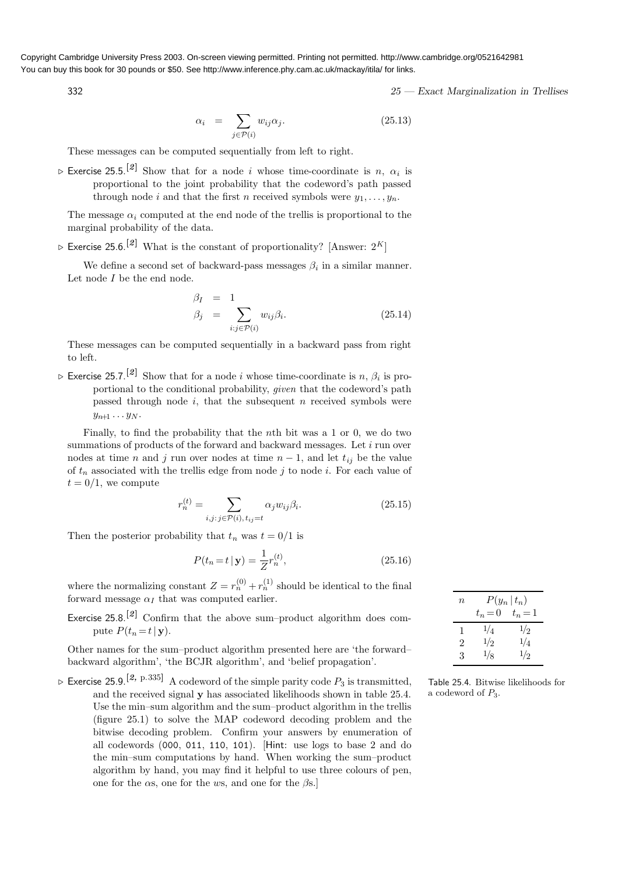$$
\alpha_i = \sum_{j \in \mathcal{P}(i)} w_{ij} \alpha_j. \tag{25.13}
$$

These messages can be computed sequentially from left to right.

 $\triangleright$  Exercise 25.5.<sup>[2]</sup> Show that for a node *i* whose time-coordinate is *n*,  $\alpha_i$  is proportional to the joint probability that the codeword's path passed through node i and that the first n received symbols were  $y_1, \ldots, y_n$ .

The message  $\alpha_i$  computed at the end node of the trellis is proportional to the marginal probability of the data.

 $\triangleright$  Exercise 25.6.<sup>[2]</sup> What is the constant of proportionality? [Answer:  $2^K$ ]

We define a second set of backward-pass messages  $\beta_i$  in a similar manner. Let node  $I$  be the end node.

$$
\beta_I = 1 \n\beta_j = \sum_{i:j \in \mathcal{P}(i)} w_{ij} \beta_i.
$$
\n(25.14)

These messages can be computed sequentially in a backward pass from right to left.

 $\triangleright$  Exercise 25.7.<sup>[2]</sup> Show that for a node *i* whose time-coordinate is n,  $\beta_i$  is proportional to the conditional probability, given that the codeword's path passed through node  $i$ , that the subsequent  $n$  received symbols were  $y_{n+1} \ldots y_N$ .

Finally, to find the probability that the nth bit was a 1 or 0, we do two summations of products of the forward and backward messages. Let  $i$  run over nodes at time n and j run over nodes at time  $n-1$ , and let  $t_{ij}$  be the value of  $t_n$  associated with the trellis edge from node j to node i. For each value of  $t = 0/1$ , we compute

$$
r_n^{(t)} = \sum_{i,j \colon j \in \mathcal{P}(i), \, t_{ij} = t} \alpha_j w_{ij} \beta_i.
$$
 (25.15)

Then the posterior probability that  $t_n$  was  $t = 0/1$  is

$$
P(t_n = t \mid \mathbf{y}) = \frac{1}{Z} r_n^{(t)},\tag{25.16}
$$

where the normalizing constant  $Z = r_n^{(0)} + r_n^{(1)}$  should be identical to the final forward message  $\alpha_I$  that was computed earlier.

Exercise  $25.8$ .<sup>[2]</sup> Confirm that the above sum–product algorithm does compute  $P(t_n = t | \mathbf{v}).$ 

Other names for the sum–product algorithm presented here are 'the forward– backward algorithm', 'the BCJR algorithm', and 'belief propagation'.

 $\triangleright$  Exercise 25.9.<sup>[2, p.335]</sup> A codeword of the simple parity code  $P_3$  is transmitted, and the received signal y has associated likelihoods shown in table 25.4. Use the min–sum algorithm and the sum–product algorithm in the trellis (figure 25.1) to solve the MAP codeword decoding problem and the bitwise decoding problem. Confirm your answers by enumeration of all codewords (000, 011, 110, 101). [Hint: use logs to base 2 and do the min–sum computations by hand. When working the sum–product algorithm by hand, you may find it helpful to use three colours of pen, one for the  $\alpha$ s, one for the ws, and one for the  $\beta$ s.

| $\eta$ | $P(y_n   t_n)$<br>$t_n=0$ | $t_n=1$ |
|--------|---------------------------|---------|
| 1      | 1/4                       | 1/2     |
| 2      | 1/2                       | 1/4     |
| 3      | 1/8                       | 1/2     |

Table 25.4. Bitwise likelihoods for a codeword of  $P_3$ .

# $332$  25 — Exact Marginalization in Trellises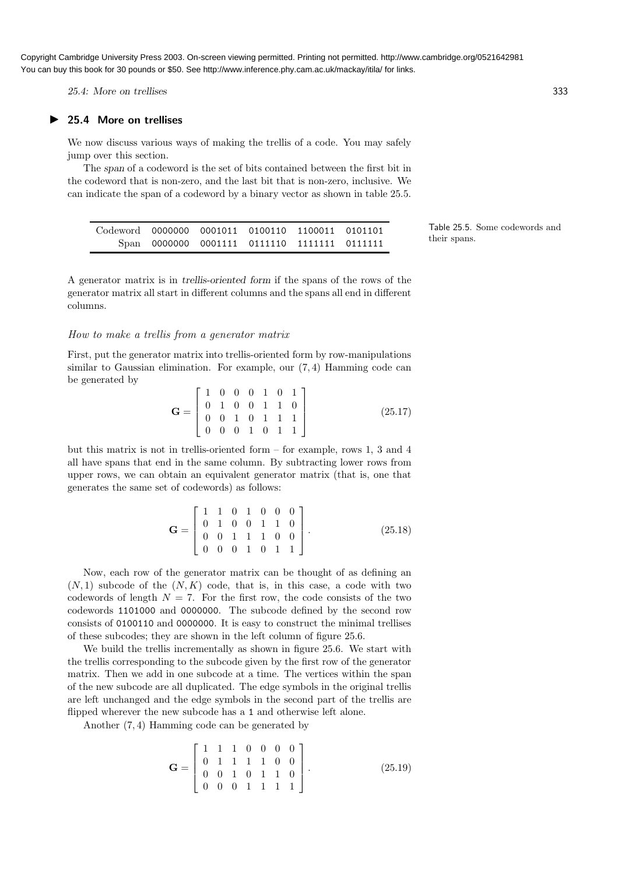25.4: More on trellises 333

## ▶ 25.4 More on trellises

We now discuss various ways of making the trellis of a code. You may safely jump over this section.

The span of a codeword is the set of bits contained between the first bit in the codeword that is non-zero, and the last bit that is non-zero, inclusive. We can indicate the span of a codeword by a binary vector as shown in table 25.5.

able 25.5. Some codewords and teir spans.

A generator matrix is in trellis-oriented form if the spans of the rows of the generator matrix all start in different columns and the spans all end in different columns.

## How to make a trellis from a generator matrix

First, put the generator matrix into trellis-oriented form by row-manipulations similar to Gaussian elimination. For example, our (7, 4) Hamming code can be generated by

$$
\mathbf{G} = \begin{bmatrix} 1 & 0 & 0 & 0 & 1 & 0 & 1 \\ 0 & 1 & 0 & 0 & 1 & 1 & 0 \\ 0 & 0 & 1 & 0 & 1 & 1 & 1 \\ 0 & 0 & 0 & 1 & 0 & 1 & 1 \end{bmatrix}
$$
(25.17)

but this matrix is not in trellis-oriented form – for example, rows 1, 3 and 4 all have spans that end in the same column. By subtracting lower rows from upper rows, we can obtain an equivalent generator matrix (that is, one that generates the same set of codewords) as follows:

$$
\mathbf{G} = \begin{bmatrix} 1 & 1 & 0 & 1 & 0 & 0 & 0 \\ 0 & 1 & 0 & 0 & 1 & 1 & 0 \\ 0 & 0 & 1 & 1 & 1 & 0 & 0 \\ 0 & 0 & 0 & 1 & 0 & 1 & 1 \end{bmatrix} .
$$
 (25.18)

Now, each row of the generator matrix can be thought of as defining an  $(N, 1)$  subcode of the  $(N, K)$  code, that is, in this case, a code with two codewords of length  $N = 7$ . For the first row, the code consists of the two codewords 1101000 and 0000000. The subcode defined by the second row consists of 0100110 and 0000000. It is easy to construct the minimal trellises of these subcodes; they are shown in the left column of figure 25.6.

We build the trellis incrementally as shown in figure 25.6. We start with the trellis corresponding to the subcode given by the first row of the generator matrix. Then we add in one subcode at a time. The vertices within the span of the new subcode are all duplicated. The edge symbols in the original trellis are left unchanged and the edge symbols in the second part of the trellis are flipped wherever the new subcode has a 1 and otherwise left alone.

Another (7, 4) Hamming code can be generated by

$$
\mathbf{G} = \begin{bmatrix} 1 & 1 & 1 & 0 & 0 & 0 & 0 \\ 0 & 1 & 1 & 1 & 1 & 0 & 0 \\ 0 & 0 & 1 & 0 & 1 & 1 & 0 \\ 0 & 0 & 0 & 1 & 1 & 1 & 1 \end{bmatrix} .
$$
 (25.19)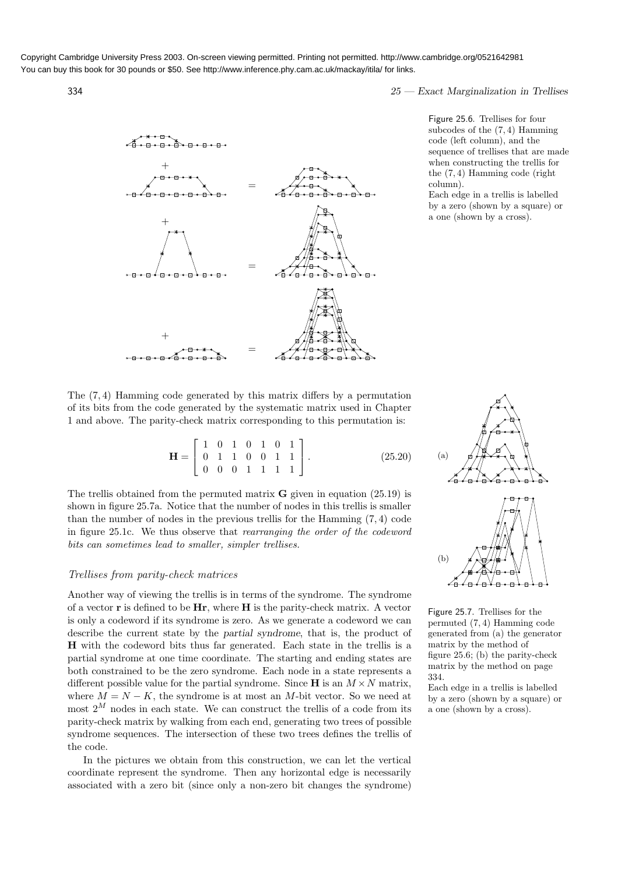$334$   $25$  — Exact Marginalization in Trellises

Figure 25.6. Trellises for four subcodes of the (7, 4) Hamming code (left column), and the sequence of trellises that are made when constructing the trellis for the (7, 4) Hamming code (right column).

Each edge in a trellis is labelled by a zero (shown by a square) or a one (shown by a cross).





The (7, 4) Hamming code generated by this matrix differs by a permutation of its bits from the code generated by the systematic matrix used in Chapter 1 and above. The parity-check matrix corresponding to this permutation is:

> $H =$  $\sqrt{ }$  $\overline{1}$ 1 0 1 0 1 0 1 0 1 1 0 0 1 1 0 0 0 1 1 1 1 1  $(25.20)$

The trellis obtained from the permuted matrix  **given in equation (25.19) is** shown in figure 25.7a. Notice that the number of nodes in this trellis is smaller than the number of nodes in the previous trellis for the Hamming (7, 4) code in figure 25.1c. We thus observe that rearranging the order of the codeword bits can sometimes lead to smaller, simpler trellises.

## Trellises from parity-check matrices

Another way of viewing the trellis is in terms of the syndrome. The syndrome of a vector  $\bf{r}$  is defined to be  $\bf{H}\bf{r}$ , where  $\bf{H}$  is the parity-check matrix. A vector is only a codeword if its syndrome is zero. As we generate a codeword we can describe the current state by the partial syndrome, that is, the product of H with the codeword bits thus far generated. Each state in the trellis is a partial syndrome at one time coordinate. The starting and ending states are both constrained to be the zero syndrome. Each node in a state represents a different possible value for the partial syndrome. Since  $H$  is an  $M \times N$  matrix, where  $M = N - K$ , the syndrome is at most an M-bit vector. So we need at most  $2^M$  nodes in each state. We can construct the trellis of a code from its parity-check matrix by walking from each end, generating two trees of possible syndrome sequences. The intersection of these two trees defines the trellis of the code.

In the pictures we obtain from this construction, we can let the vertical coordinate represent the syndrome. Then any horizontal edge is necessarily associated with a zero bit (since only a non-zero bit changes the syndrome)



Figure 25.7. Trellises for the permuted (7, 4) Hamming code generated from (a) the generator matrix by the method of figure 25.6; (b) the parity-check matrix by the method on page 334.

Each edge in a trellis is labelled by a zero (shown by a square) or a one (shown by a cross).